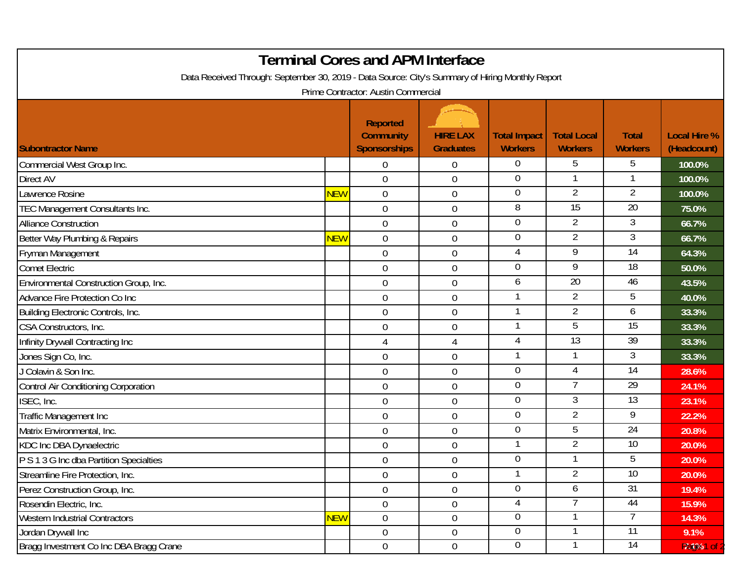| <b>Terminal Cores and APM Interface</b><br>Data Received Through: September 30, 2019 - Data Source: City's Summary of Hiring Monthly Report<br>Prime Contractor: Austin Commercial |            |                                                            |                                     |                                       |                                      |                                |                                    |  |  |  |  |
|------------------------------------------------------------------------------------------------------------------------------------------------------------------------------------|------------|------------------------------------------------------------|-------------------------------------|---------------------------------------|--------------------------------------|--------------------------------|------------------------------------|--|--|--|--|
| <b>Subontractor Name</b>                                                                                                                                                           |            | <b>Reported</b><br><b>Community</b><br><b>Sponsorships</b> | <b>HIRE LAX</b><br><b>Graduates</b> | <b>Total Impact</b><br><b>Workers</b> | <b>Total Local</b><br><b>Workers</b> | <b>Total</b><br><b>Workers</b> | <b>Local Hire %</b><br>(Headcount) |  |  |  |  |
| Commercial West Group Inc.                                                                                                                                                         |            | $\Omega$                                                   | $\mathbf 0$                         | $\Omega$                              | 5                                    | 5                              | 100.0%                             |  |  |  |  |
| <b>Direct AV</b>                                                                                                                                                                   |            | $\mathbf 0$                                                | $\boldsymbol{0}$                    | 0                                     |                                      |                                | 100.0%                             |  |  |  |  |
| awrence Rosine                                                                                                                                                                     | <b>NEW</b> | $\mathbf 0$                                                | $\boldsymbol{0}$                    | $\overline{0}$                        | $\overline{2}$                       | $\overline{2}$                 | 100.0%                             |  |  |  |  |
| TEC Management Consultants Inc.                                                                                                                                                    |            | $\overline{0}$                                             | $\boldsymbol{0}$                    | 8                                     | $\overline{15}$                      | $\overline{20}$                | 75.0%                              |  |  |  |  |
| <b>Alliance Construction</b>                                                                                                                                                       |            | $\overline{0}$                                             | $\boldsymbol{0}$                    | 0                                     | $\overline{2}$                       | 3                              | 66.7%                              |  |  |  |  |
| Better Way Plumbing & Repairs                                                                                                                                                      | NEW        | $\boldsymbol{0}$                                           | $\boldsymbol{0}$                    | $\boldsymbol{0}$                      | 2                                    | 3                              | 66.7%                              |  |  |  |  |
| Fryman Management                                                                                                                                                                  |            | $\mathbf 0$                                                | $\boldsymbol{0}$                    | 4                                     | $\overline{9}$                       | $\overline{14}$                | 64.3%                              |  |  |  |  |
| <b>Comet Electric</b>                                                                                                                                                              |            | $\overline{0}$                                             | $\mathbf 0$                         | $\overline{0}$                        | 9                                    | 18                             | 50.0%                              |  |  |  |  |
| Environmental Construction Group, Inc.                                                                                                                                             |            | 0                                                          | $\boldsymbol{0}$                    | 6                                     | $\overline{20}$                      | 46                             | 43.5%                              |  |  |  |  |
| Advance Fire Protection Co Inc                                                                                                                                                     |            | $\mathbf 0$                                                | $\mathbf 0$                         |                                       | $\overline{2}$                       | 5                              | 40.0%                              |  |  |  |  |
| Building Electronic Controls, Inc.                                                                                                                                                 |            | $\mathbf 0$                                                | $\boldsymbol{0}$                    |                                       | $\overline{2}$                       | 6                              | 33.3%                              |  |  |  |  |
| CSA Constructors, Inc.                                                                                                                                                             |            | 0                                                          | $\boldsymbol{0}$                    |                                       | 5                                    | $\overline{15}$                | 33.3%                              |  |  |  |  |
| Infinity Drywall Contracting Inc                                                                                                                                                   |            | 4                                                          | $\overline{4}$                      | 4                                     | $\overline{13}$                      | 39                             | 33.3%                              |  |  |  |  |
| Jones Sign Co, Inc.                                                                                                                                                                |            | 0                                                          | $\boldsymbol{0}$                    |                                       |                                      | 3                              | 33.3%                              |  |  |  |  |
| J Colavin & Son Inc.                                                                                                                                                               |            | $\mathbf 0$                                                | $\boldsymbol{0}$                    | $\overline{0}$                        | 4                                    | $\overline{14}$                | 28.6%                              |  |  |  |  |
| Control Air Conditioning Corporation                                                                                                                                               |            | $\mathbf 0$                                                | $\mathbf 0$                         | $\overline{0}$                        | 7                                    | $\overline{29}$                | 24.1%                              |  |  |  |  |
| ISEC, Inc.                                                                                                                                                                         |            | $\overline{0}$                                             | $\boldsymbol{0}$                    | 0                                     | 3                                    | 13                             | 23.1%                              |  |  |  |  |
| Traffic Management Inc                                                                                                                                                             |            | $\mathbf 0$                                                | $\boldsymbol{0}$                    | $\overline{0}$                        | $\overline{2}$                       | 9                              | 22.2%                              |  |  |  |  |
| Matrix Environmental, Inc.                                                                                                                                                         |            | $\mathbf 0$                                                | $\boldsymbol{0}$                    | $\overline{0}$                        | 5                                    | 24                             | 20.8%                              |  |  |  |  |
| <b>KDC Inc DBA Dynaelectric</b>                                                                                                                                                    |            | 0                                                          | $\boldsymbol{0}$                    |                                       | $\overline{2}$                       | 10                             | 20.0%                              |  |  |  |  |
| P S 1 3 G Inc dba Partition Specialties                                                                                                                                            |            | $\mathbf 0$                                                | $\mathbf 0$                         | $\boldsymbol{0}$                      |                                      | 5                              | 20.0%                              |  |  |  |  |
| Streamline Fire Protection, Inc.                                                                                                                                                   |            | $\boldsymbol{0}$                                           | $\boldsymbol{0}$                    |                                       | $\overline{2}$                       | 10 <sup>°</sup>                | 20.0%                              |  |  |  |  |
| Perez Construction Group, Inc.                                                                                                                                                     |            | $\mathbf 0$                                                | $\boldsymbol{0}$                    | $\overline{0}$                        | 6                                    | 31                             | 19.4%                              |  |  |  |  |
| Rosendin Electric, Inc.                                                                                                                                                            |            | $\overline{0}$                                             | $\boldsymbol{0}$                    | 4                                     |                                      | 44                             | 15.9%                              |  |  |  |  |
| <b>Western Industrial Contractors</b>                                                                                                                                              | <b>NEW</b> | $\overline{0}$                                             | $\boldsymbol{0}$                    | $\overline{0}$                        |                                      |                                | 14.3%                              |  |  |  |  |
| Jordan Drywall Inc                                                                                                                                                                 |            | $\overline{0}$                                             | $0\,$                               | $\overline{0}$                        |                                      | 11                             | 9.1%                               |  |  |  |  |
| Bragg Investment Co Inc DBA Bragg Crane                                                                                                                                            |            | $\mathbf 0$                                                | $\boldsymbol{0}$                    | $\overline{0}$                        |                                      | 14                             | Pat%1 of                           |  |  |  |  |